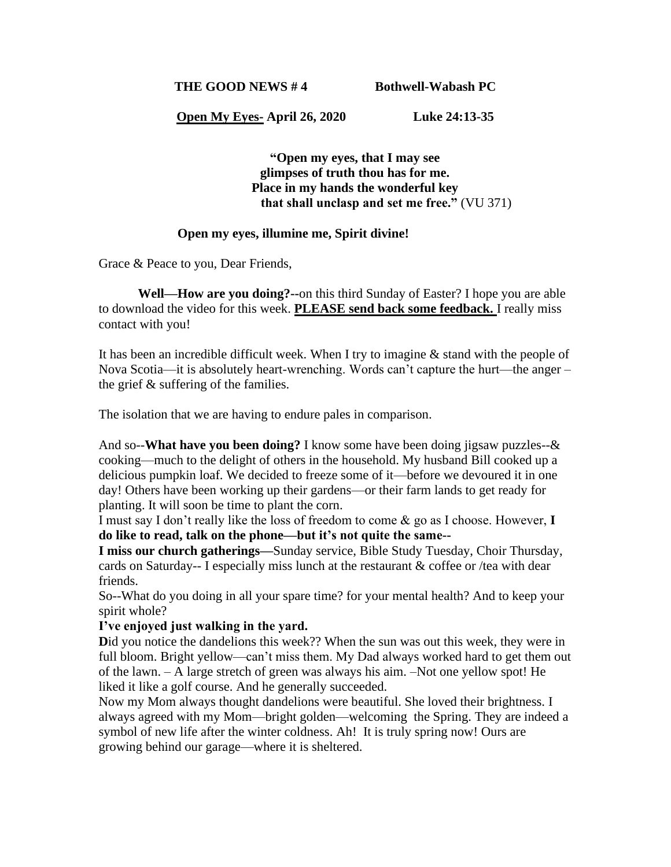**THE GOOD NEWS # 4 Bothwell-Wabash PC**

**Open My Eyes- April 26, 2020 Luke 24:13-35**

**"Open my eyes, that I may see glimpses of truth thou has for me. Place in my hands the wonderful key that shall unclasp and set me free."** (VU 371)

## **Open my eyes, illumine me, Spirit divine!**

Grace & Peace to you, Dear Friends,

**Well—How are you doing?--**on this third Sunday of Easter? I hope you are able to download the video for this week. **PLEASE send back some feedback.** I really miss contact with you!

It has been an incredible difficult week. When I try to imagine & stand with the people of Nova Scotia—it is absolutely heart-wrenching. Words can't capture the hurt—the anger – the grief & suffering of the families.

The isolation that we are having to endure pales in comparison.

And so--**What have you been doing?** I know some have been doing jigsaw puzzles--& cooking—much to the delight of others in the household. My husband Bill cooked up a delicious pumpkin loaf. We decided to freeze some of it—before we devoured it in one day! Others have been working up their gardens—or their farm lands to get ready for planting. It will soon be time to plant the corn.

I must say I don't really like the loss of freedom to come & go as I choose. However, **I do like to read, talk on the phone—but it's not quite the same--**

**I miss our church gatherings—**Sunday service, Bible Study Tuesday, Choir Thursday, cards on Saturday-- I especially miss lunch at the restaurant & coffee or /tea with dear friends.

So--What do you doing in all your spare time? for your mental health? And to keep your spirit whole?

## **I've enjoyed just walking in the yard.**

Did you notice the dandelions this week?? When the sun was out this week, they were in full bloom. Bright yellow—can't miss them. My Dad always worked hard to get them out of the lawn. – A large stretch of green was always his aim. –Not one yellow spot! He liked it like a golf course. And he generally succeeded.

Now my Mom always thought dandelions were beautiful. She loved their brightness. I always agreed with my Mom—bright golden—welcoming the Spring. They are indeed a symbol of new life after the winter coldness. Ah! It is truly spring now! Ours are growing behind our garage—where it is sheltered.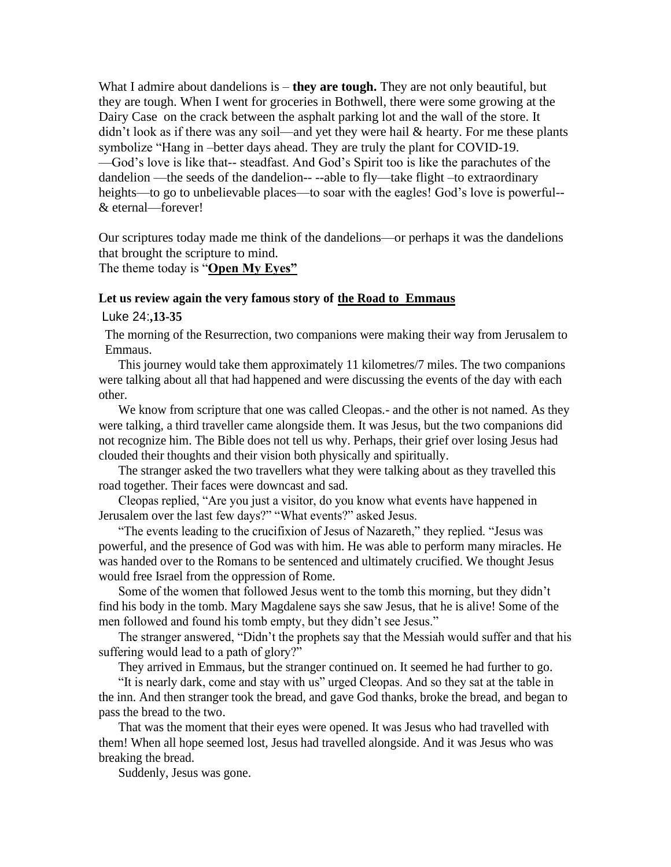What I admire about dandelions is – **they are tough.** They are not only beautiful, but they are tough. When I went for groceries in Bothwell, there were some growing at the Dairy Case on the crack between the asphalt parking lot and the wall of the store. It didn't look as if there was any soil—and yet they were hail & hearty. For me these plants symbolize "Hang in –better days ahead. They are truly the plant for COVID-19. —God's love is like that-- steadfast. And God's Spirit too is like the parachutes of the dandelion —the seeds of the dandelion-- --able to fly—take flight –to extraordinary heights—to go to unbelievable places—to soar with the eagles! God's love is powerful--& eternal—forever!

Our scriptures today made me think of the dandelions—or perhaps it was the dandelions that brought the scripture to mind.

The theme today is "**Open My Eyes"**

## **Let us review again the very famous story of the Road to Emmaus**

Luke 24:**,13-35**

The morning of the Resurrection, two companions were making their way from Jerusalem to Emmaus.

This journey would take them approximately 11 kilometres/7 miles. The two companions were talking about all that had happened and were discussing the events of the day with each other.

We know from scripture that one was called Cleopas.- and the other is not named. As they were talking, a third traveller came alongside them. It was Jesus, but the two companions did not recognize him. The Bible does not tell us why. Perhaps, their grief over losing Jesus had clouded their thoughts and their vision both physically and spiritually.

The stranger asked the two travellers what they were talking about as they travelled this road together. Their faces were downcast and sad.

Cleopas replied, "Are you just a visitor, do you know what events have happened in Jerusalem over the last few days?" "What events?" asked Jesus.

"The events leading to the crucifixion of Jesus of Nazareth," they replied. "Jesus was powerful, and the presence of God was with him. He was able to perform many miracles. He was handed over to the Romans to be sentenced and ultimately crucified. We thought Jesus would free Israel from the oppression of Rome.

Some of the women that followed Jesus went to the tomb this morning, but they didn't find his body in the tomb. Mary Magdalene says she saw Jesus, that he is alive! Some of the men followed and found his tomb empty, but they didn't see Jesus."

The stranger answered, "Didn't the prophets say that the Messiah would suffer and that his suffering would lead to a path of glory?"

They arrived in Emmaus, but the stranger continued on. It seemed he had further to go.

"It is nearly dark, come and stay with us" urged Cleopas. And so they sat at the table in the inn. And then stranger took the bread, and gave God thanks, broke the bread, and began to pass the bread to the two.

That was the moment that their eyes were opened. It was Jesus who had travelled with them! When all hope seemed lost, Jesus had travelled alongside. And it was Jesus who was breaking the bread.

Suddenly, Jesus was gone.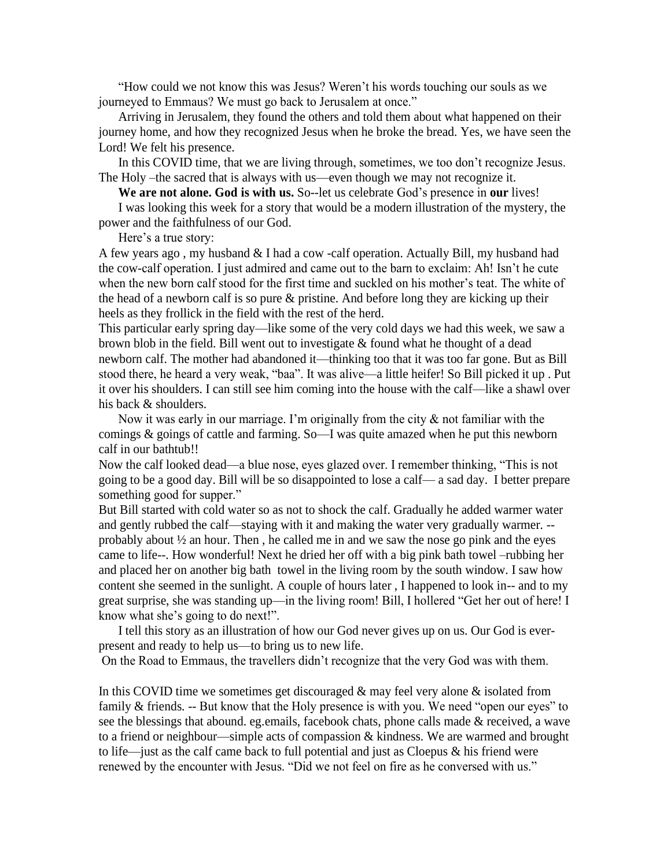"How could we not know this was Jesus? Weren't his words touching our souls as we journeyed to Emmaus? We must go back to Jerusalem at once."

Arriving in Jerusalem, they found the others and told them about what happened on their journey home, and how they recognized Jesus when he broke the bread. Yes, we have seen the Lord! We felt his presence.

In this COVID time, that we are living through, sometimes, we too don't recognize Jesus. The Holy –the sacred that is always with us—even though we may not recognize it.

**We are not alone. God is with us.** So--let us celebrate God's presence in **our** lives!

I was looking this week for a story that would be a modern illustration of the mystery, the power and the faithfulness of our God.

Here's a true story:

A few years ago , my husband & I had a cow -calf operation. Actually Bill, my husband had the cow-calf operation. I just admired and came out to the barn to exclaim: Ah! Isn't he cute when the new born calf stood for the first time and suckled on his mother's teat. The white of the head of a newborn calf is so pure & pristine. And before long they are kicking up their heels as they frollick in the field with the rest of the herd.

This particular early spring day—like some of the very cold days we had this week, we saw a brown blob in the field. Bill went out to investigate  $&$  found what he thought of a dead newborn calf. The mother had abandoned it—thinking too that it was too far gone. But as Bill stood there, he heard a very weak, "baa". It was alive—a little heifer! So Bill picked it up . Put it over his shoulders. I can still see him coming into the house with the calf—like a shawl over his back & shoulders.

Now it was early in our marriage. I'm originally from the city & not familiar with the comings & goings of cattle and farming. So—I was quite amazed when he put this newborn calf in our bathtub!!

Now the calf looked dead—a blue nose, eyes glazed over. I remember thinking, "This is not going to be a good day. Bill will be so disappointed to lose a calf— a sad day. I better prepare something good for supper."

But Bill started with cold water so as not to shock the calf. Gradually he added warmer water and gently rubbed the calf—staying with it and making the water very gradually warmer. - probably about  $\frac{1}{2}$  an hour. Then, he called me in and we saw the nose go pink and the eyes came to life--. How wonderful! Next he dried her off with a big pink bath towel –rubbing her and placed her on another big bath towel in the living room by the south window. I saw how content she seemed in the sunlight. A couple of hours later , I happened to look in-- and to my great surprise, she was standing up—in the living room! Bill, I hollered "Get her out of here! I know what she's going to do next!".

I tell this story as an illustration of how our God never gives up on us. Our God is everpresent and ready to help us—to bring us to new life.

On the Road to Emmaus, the travellers didn't recognize that the very God was with them.

In this COVID time we sometimes get discouraged  $\&$  may feel very alone  $\&$  isolated from family & friends. -- But know that the Holy presence is with you. We need "open our eyes" to see the blessings that abound. eg.emails, facebook chats, phone calls made  $\&$  received, a wave to a friend or neighbour—simple acts of compassion & kindness. We are warmed and brought to life—just as the calf came back to full potential and just as Cloepus & his friend were renewed by the encounter with Jesus. "Did we not feel on fire as he conversed with us."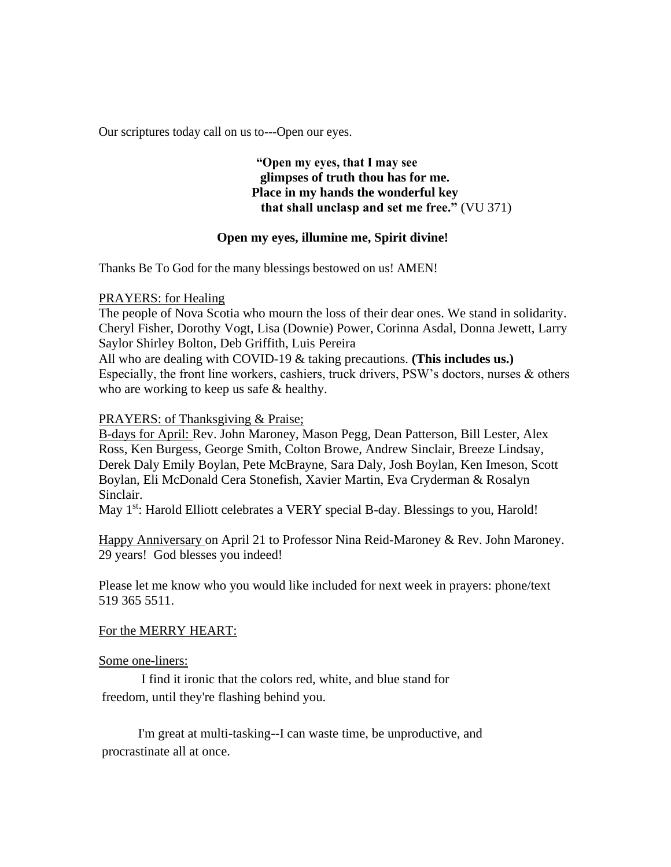Our scriptures today call on us to---Open our eyes.

**"Open my eyes, that I may see glimpses of truth thou has for me. Place in my hands the wonderful key that shall unclasp and set me free."** (VU 371)

## **Open my eyes, illumine me, Spirit divine!**

Thanks Be To God for the many blessings bestowed on us! AMEN!

PRAYERS: for Healing

The people of Nova Scotia who mourn the loss of their dear ones. We stand in solidarity. Cheryl Fisher, Dorothy Vogt, Lisa (Downie) Power, Corinna Asdal, Donna Jewett, Larry Saylor Shirley Bolton, Deb Griffith, Luis Pereira All who are dealing with COVID-19 & taking precautions. **(This includes us.)** Especially, the front line workers, cashiers, truck drivers, PSW's doctors, nurses & others

who are working to keep us safe  $&$  healthy.

PRAYERS: of Thanksgiving & Praise;

B-days for April: Rev. John Maroney, Mason Pegg, Dean Patterson, Bill Lester, Alex Ross, Ken Burgess, George Smith, Colton Browe, Andrew Sinclair, Breeze Lindsay, Derek Daly Emily Boylan, Pete McBrayne, Sara Daly, Josh Boylan, Ken Imeson, Scott Boylan, Eli McDonald Cera Stonefish, Xavier Martin, Eva Cryderman & Rosalyn Sinclair.

May 1<sup>st</sup>: Harold Elliott celebrates a VERY special B-day. Blessings to you, Harold!

Happy Anniversary on April 21 to Professor Nina Reid-Maroney & Rev. John Maroney. 29 years! God blesses you indeed!

Please let me know who you would like included for next week in prayers: phone/text 519 365 5511.

For the MERRY HEART:

Some one-liners:

I find it ironic that the colors red, white, and blue stand for freedom, until they're flashing behind you.

I'm great at multi-tasking--I can waste time, be unproductive, and procrastinate all at once.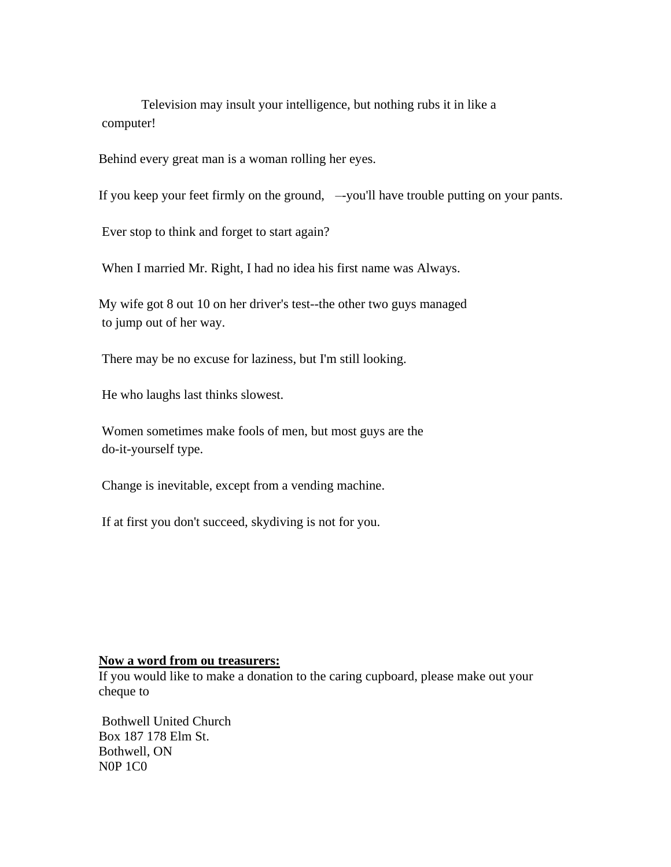Television may insult your intelligence, but nothing rubs it in like a computer!

Behind every great man is a woman rolling her eyes.

If you keep your feet firmly on the ground, — you'll have trouble putting on your pants.

Ever stop to think and forget to start again?

When I married Mr. Right, I had no idea his first name was Always.

My wife got 8 out 10 on her driver's test--the other two guys managed to jump out of her way.

There may be no excuse for laziness, but I'm still looking.

He who laughs last thinks slowest.

Women sometimes make fools of men, but most guys are the do-it-yourself type.

Change is inevitable, except from a vending machine.

If at first you don't succeed, skydiving is not for you.

#### **Now a word from ou treasurers:**

If you would like to make a donation to the caring cupboard, please make out your cheque to

Bothwell United Church Box 187 178 Elm St. Bothwell, ON N0P 1C0